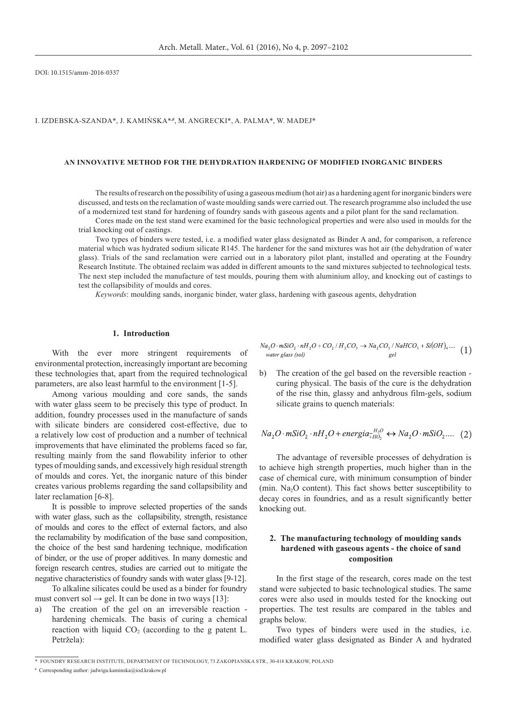DOI: 10.1515/amm-2016-0337

#### I. IZDEBSKA-SZANDA\*, J. KAMIŃSKA<sup>\*,#</sup>, M. ANGRECKI\*, A. PALMA\*, W. MADEJ\*

#### **An innovative method for the dehydration hardening of modified inorganic binders**

The results of research on the possibility of using a gaseous medium (hot air) as a hardening agent for inorganic binders were discussed, and tests on the reclamation of waste moulding sands were carried out. The research programme also included the use of a modernized test stand for hardening of foundry sands with gaseous agents and a pilot plant for the sand reclamation.

Cores made on the test stand were examined for the basic technological properties and were also used in moulds for the trial knocking out of castings.

Two types of binders were tested, i.e. a modified water glass designated as Binder A and, for comparison, a reference material which was hydrated sodium silicate R145. The hardener for the sand mixtures was hot air (the dehydration of water glass). Trials of the sand reclamation were carried out in a laboratory pilot plant, installed and operating at the Foundry Research Institute. The obtained reclaim was added in different amounts to the sand mixtures subjected to technological tests. The next step included the manufacture of test moulds, pouring them with aluminium alloy, and knocking out of castings to test the collapsibility of moulds and cores.

*Keywords*: moulding sands, inorganic binder, water glass, hardening with gaseous agents, dehydration

## **1. Introduction**

With the ever more stringent requirements of environmental protection, increasingly important are becoming these technologies that, apart from the required technological parameters, are also least harmful to the environment [1-5].

Among various moulding and core sands, the sands with water glass seem to be precisely this type of product. In addition, foundry processes used in the manufacture of sands with silicate binders are considered cost-effective, due to a relatively low cost of production and a number of technical improvements that have eliminated the problems faced so far, resulting mainly from the sand flowability inferior to other types of moulding sands, and excessively high residual strength of moulds and cores. Yet, the inorganic nature of this binder creates various problems regarding the sand collapsibility and later reclamation [6-8].

It is possible to improve selected properties of the sands with water glass, such as the collapsibility, strength, resistance of moulds and cores to the effect of external factors, and also the reclamability by modification of the base sand composition, the choice of the best sand hardening technique, modification of binder, or the use of proper additives. In many domestic and foreign research centres, studies are carried out to mitigate the negative characteristics of foundry sands with water glass [9-12].

To alkaline silicates could be used as a binder for foundry must convert sol  $\rightarrow$  gel. It can be done in two ways [13]:

a) The creation of the gel on an irreversible reaction hardening chemicals. The basis of curing a chemical reaction with liquid  $CO<sub>2</sub>$  (according to the g patent L. Petržela):

$$
\begin{array}{ll}\n\text{Na}_2O \cdot mSiO_2 \cdot nH_2O + CO_2 \cdot H_2CO_3 \rightarrow Na_2CO_3 \cdot NaHCO_3 + Si(OH)_4 \dots \\
\text{water glass (sol)} & \text{gel}\n\end{array} (1)
$$

b) The creation of the gel based on the reversible reaction curing physical. The basis of the cure is the dehydration of the rise thin, glassy and anhydrous film-gels, sodium silicate grains to quench materials:

$$
Na_2O \cdot mSiO_2 \cdot nH_2O + energia_{+HO_2}^{H_2O} \leftrightarrow Na_2O \cdot mSiO_2 \dots (2)
$$

The advantage of reversible processes of dehydration is to achieve high strength properties, much higher than in the case of chemical cure, with minimum consumption of binder (min.  $Na<sub>2</sub>O$  content). This fact shows better susceptibility to decay cores in foundries, and as a result significantly better knocking out.

# **2. The manufacturing technology of moulding sands hardened with gaseous agents - the choice of sand composition**

In the first stage of the research, cores made on the test stand were subjected to basic technological studies. The same cores were also used in moulds tested for the knocking out properties. The test results are compared in the tables and graphs below.

Two types of binders were used in the studies, i.e. modified water glass designated as Binder A and hydrated

<sup>\*</sup>Foundry Research Institute, Department of Technology, 73 Zakopianska Str., 30-418 Krakow, Poland

**<sup>#</sup>** Corresponding author: jadwiga.kaminska@iod.krakow.pl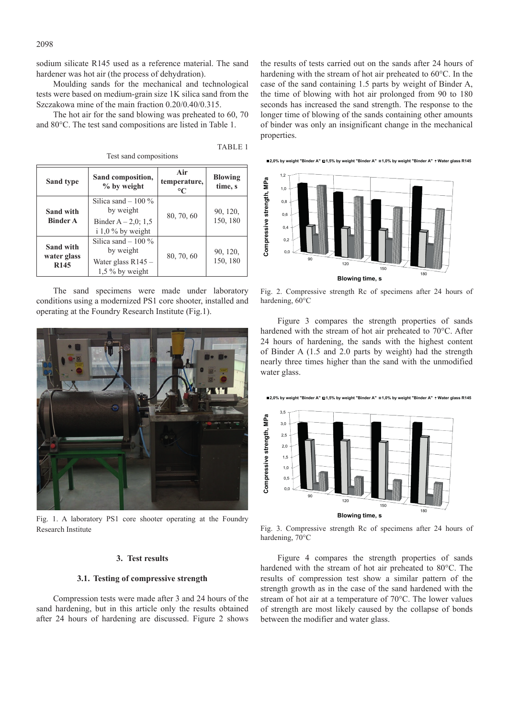sodium silicate R145 used as a reference material. The sand hardener was hot air (the process of dehydration).

Moulding sands for the mechanical and technological tests were based on medium-grain size 1K silica sand from the Szczakowa mine of the main fraction 0.20/0.40/0.315.

The hot air for the sand blowing was preheated to 60, 70 and 80°C. The test sand compositions are listed in Table 1.

| Sand type                                           | Sand composition,<br>% by weight                                                                     | Air<br>temperature,<br>$\rm ^{\circ}C$ | <b>Blowing</b><br>time, s |
|-----------------------------------------------------|------------------------------------------------------------------------------------------------------|----------------------------------------|---------------------------|
| Sand with<br><b>Binder A</b>                        | Silica sand $-100\%$<br>by weight<br>Binder $A - 2.0$ ; 1.5<br>$\frac{11.0 \% \text{ by weight}}{1}$ | 80, 70, 60                             | 90, 120,<br>150, 180      |
| <b>Sand with</b><br>water glass<br>R <sub>145</sub> | Silica sand $-100\%$<br>by weight<br>Water glass $R145 -$<br>$1,5\%$ by weight                       | 80, 70, 60                             | 90, 120,<br>150, 180      |

Test sand compositions

TABLE 1

The sand specimens were made under laboratory conditions using a modernized PS1 core shooter, installed and operating at the Foundry Research Institute (Fig.1).



Fig. 1. A laboratory PS1 core shooter operating at the Foundry Research Institute

# **3. Test results**

### **3.1. Testing of compressive strength**

Compression tests were made after 3 and 24 hours of the sand hardening, but in this article only the results obtained after 24 hours of hardening are discussed. Figure 2 shows

the results of tests carried out on the sands after 24 hours of hardening with the stream of hot air preheated to 60°C. In the case of the sand containing 1.5 parts by weight of Binder A, the time of blowing with hot air prolonged from 90 to 180 seconds has increased the sand strength. The response to the longer time of blowing of the sands containing other amounts of binder was only an insignificant change in the mechanical properties.

**2,0% by weight "Binder A" 1,5% by weight "Binder A" 1,0% by weight "Binder A" Water glass R145**



Fig. 2. Compressive strength Rc of specimens after 24 hours of hardening, 60°C

Figure 3 compares the strength properties of sands hardened with the stream of hot air preheated to 70°C. After 24 hours of hardening, the sands with the highest content of Binder A (1.5 and 2.0 parts by weight) had the strength nearly three times higher than the sand with the unmodified water glass.

**2,0% by weight "Binder A" 1,5% by weight "Binder A" 1,0% by weight "Binder A" Water glass R145**



Fig. 3. Compressive strength Rc of specimens after 24 hours of hardening, 70°C

Figure 4 compares the strength properties of sands hardened with the stream of hot air preheated to 80°C. The results of compression test show a similar pattern of the strength growth as in the case of the sand hardened with the stream of hot air at a temperature of 70°C. The lower values of strength are most likely caused by the collapse of bonds between the modifier and water glass.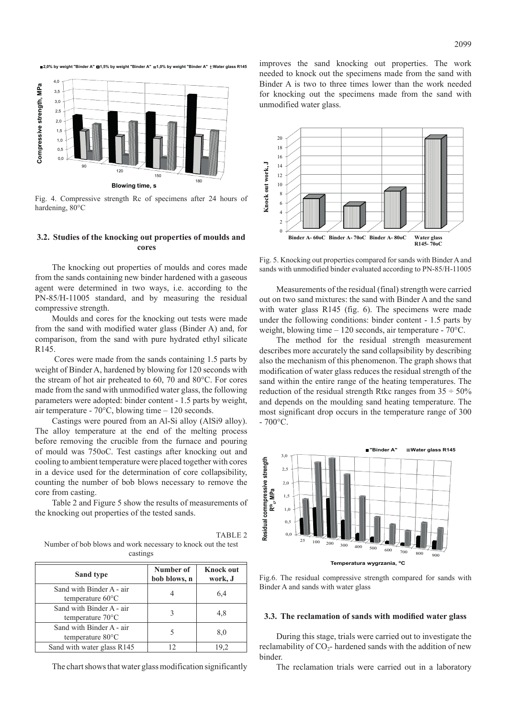**2,0% by weight "Binder A" 1,5% by weight "Binder A" 1,0% by weight "Binder A" Water glass R145**



Fig. 4. Compressive strength Rc of specimens after 24 hours of hardening, 80°C

# **3.2. Studies of the knocking out properties of moulds and cores**

The knocking out properties of moulds and cores made from the sands containing new binder hardened with a gaseous agent were determined in two ways, i.e. according to the PN-85/H-11005 standard, and by measuring the residual compressive strength.

Moulds and cores for the knocking out tests were made from the sand with modified water glass (Binder A) and, for comparison, from the sand with pure hydrated ethyl silicate R145.

 Cores were made from the sands containing 1.5 parts by weight of Binder A, hardened by blowing for 120 seconds with the stream of hot air preheated to 60, 70 and 80°C. For cores made from the sand with unmodified water glass, the following parameters were adopted: binder content - 1.5 parts by weight, air temperature - 70°C, blowing time  $-120$  seconds.

Castings were poured from an Al-Si alloy (AlSi9 alloy). The alloy temperature at the end of the melting process before removing the crucible from the furnace and pouring of mould was 750oC. Test castings after knocking out and cooling to ambient temperature were placed together with cores in a device used for the determination of core collapsibility, counting the number of bob blows necessary to remove the core from casting.

Table 2 and Figure 5 show the results of measurements of the knocking out properties of the tested sands.

TABLE 2 Number of bob blows and work necessary to knock out the test castings

| <b>Sand type</b>                                       | Number of<br>bob blows, n | <b>Knock out</b><br>work, J |
|--------------------------------------------------------|---------------------------|-----------------------------|
| Sand with Binder A - air<br>temperature $60^{\circ}$ C |                           | 6,4                         |
| Sand with Binder A - air<br>temperature $70^{\circ}$ C |                           | 4,8                         |
| Sand with Binder A - air<br>temperature $80^{\circ}$ C |                           | 8,0                         |
| Sand with water glass R145                             | 12                        | 19.2                        |

The chart shows that water glass modification significantly

improves the sand knocking out properties. The work needed to knock out the specimens made from the sand with Binder A is two to three times lower than the work needed for knocking out the specimens made from the sand with unmodified water glass.



Fig. 5. Knocking out properties compared for sands with Binder A and sands with unmodified binder evaluated according to PN-85/H-11005

Measurements of the residual (final) strength were carried out on two sand mixtures: the sand with Binder A and the sand with water glass R145 (fig. 6). The specimens were made under the following conditions: binder content - 1.5 parts by weight, blowing time – 120 seconds, air temperature - 70°C.

The method for the residual strength measurement describes more accurately the sand collapsibility by describing also the mechanism of this phenomenon. The graph shows that modification of water glass reduces the residual strength of the sand within the entire range of the heating temperatures. The reduction of the residual strength Rtkc ranges from  $35 \div 50\%$ and depends on the moulding sand heating temperature. The most significant drop occurs in the temperature range of 300 - 700°C.



Fig.6. The residual compressive strength compared for sands with Binder A and sands with water glass

#### **3.3. The reclamation of sands with modified water glass**

During this stage, trials were carried out to investigate the reclamability of  $CO_2$ - hardened sands with the addition of new binder.

The reclamation trials were carried out in a laboratory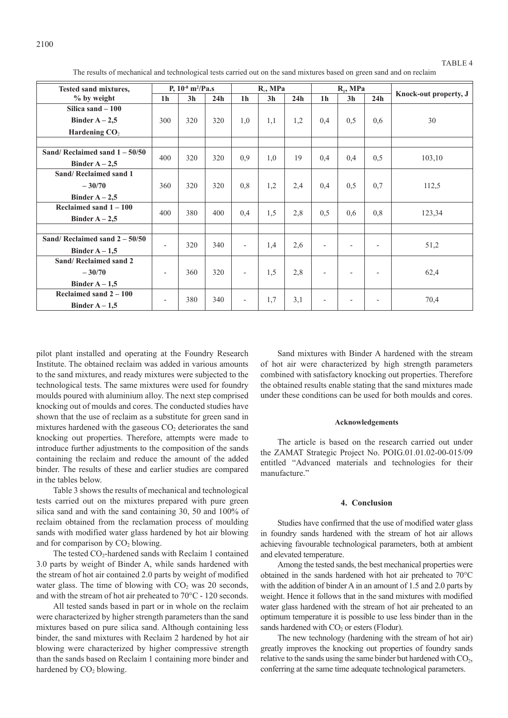```
TABLE 4
```
The results of mechanical and technological tests carried out on the sand mixtures based on green sand and on reclaim

| Tested sand mixtures,           | P, $10^{-8}$ m <sup>2</sup> /Pa.s |                | $R_c$ , MPa |                          | $R_{g}$ , MPa  |     |                          |                          |                          |                       |
|---------------------------------|-----------------------------------|----------------|-------------|--------------------------|----------------|-----|--------------------------|--------------------------|--------------------------|-----------------------|
| % by weight                     | 1 <sub>h</sub>                    | 3 <sub>h</sub> | 24h         | 1 <sub>h</sub>           | 3 <sub>h</sub> | 24h | 1 <sub>h</sub>           | 3 <sub>h</sub>           | 24h                      | Knock-out property, J |
| Silica sand $-100$              |                                   |                |             |                          |                |     |                          |                          |                          |                       |
| Binder $A - 2,5$                | 300                               | 320            | 320         | 1,0                      | 1,1            | 1,2 | 0,4                      | 0,5                      | 0,6                      | 30                    |
| Hardening CO <sub>2</sub>       |                                   |                |             |                          |                |     |                          |                          |                          |                       |
|                                 |                                   |                |             |                          |                |     |                          |                          |                          |                       |
| Sand/Reclaimed sand $1 - 50/50$ | 400                               | 320            | 320         | 0,9                      | 1,0            | 19  | 0,4                      | 0,4                      | 0,5                      | 103,10                |
| Binder $A - 2,5$                |                                   |                |             |                          |                |     |                          |                          |                          |                       |
| Sand/Reclaimed sand 1           |                                   |                |             |                          |                |     |                          |                          |                          |                       |
| $-30/70$                        | 360                               | 320            | 320         | 0,8                      | 1,2            | 2,4 | 0,4                      | 0,5                      | 0,7                      | 112,5                 |
| Binder $A - 2,5$                |                                   |                |             |                          |                |     |                          |                          |                          |                       |
| Reclaimed sand $1 - 100$        | 400                               | 380            | 400         | 0,4                      | 1,5            | 2,8 | 0,5                      | 0,6                      | 0,8                      |                       |
| Binder $A - 2,5$                |                                   |                |             |                          |                |     |                          |                          |                          | 123,34                |
|                                 |                                   |                |             |                          |                |     |                          |                          |                          |                       |
| Sand/Reclaimed sand $2 - 50/50$ | $\overline{\phantom{a}}$          | 320            | 340         | $\overline{\phantom{a}}$ | 1,4            | 2,6 | $\overline{\phantom{0}}$ | $\overline{\phantom{a}}$ | $\overline{\phantom{a}}$ | 51,2                  |
| Binder $A - 1,5$                |                                   |                |             |                          |                |     |                          |                          |                          |                       |
| Sand/Reclaimed sand 2           |                                   |                |             |                          |                |     |                          |                          |                          |                       |
| $-30/70$                        | $\overline{\phantom{a}}$          | 360            | 320         | $\overline{\phantom{0}}$ | 1,5            | 2,8 | $\overline{\phantom{a}}$ | $\overline{\phantom{a}}$ | $\overline{\phantom{a}}$ | 62,4                  |
| Binder $A - 1,5$                |                                   |                |             |                          |                |     |                          |                          |                          |                       |
| Reclaimed sand $2 - 100$        |                                   |                |             |                          |                |     |                          |                          |                          |                       |
| Binder $A - 1,5$                | $\overline{a}$                    | 380            | 340         | $\overline{\phantom{a}}$ | 1,7            | 3,1 | $\overline{\phantom{0}}$ | $\overline{\phantom{a}}$ | $\overline{\phantom{0}}$ | 70,4                  |

pilot plant installed and operating at the Foundry Research Institute. The obtained reclaim was added in various amounts to the sand mixtures, and ready mixtures were subjected to the technological tests. The same mixtures were used for foundry moulds poured with aluminium alloy. The next step comprised knocking out of moulds and cores. The conducted studies have shown that the use of reclaim as a substitute for green sand in mixtures hardened with the gaseous  $CO<sub>2</sub>$  deteriorates the sand knocking out properties. Therefore, attempts were made to introduce further adjustments to the composition of the sands containing the reclaim and reduce the amount of the added binder. The results of these and earlier studies are compared in the tables below.

Table 3 shows the results of mechanical and technological tests carried out on the mixtures prepared with pure green silica sand and with the sand containing 30, 50 and 100% of reclaim obtained from the reclamation process of moulding sands with modified water glass hardened by hot air blowing and for comparison by  $CO<sub>2</sub>$  blowing.

The tested  $CO<sub>2</sub>$ -hardened sands with Reclaim 1 contained 3.0 parts by weight of Binder A, while sands hardened with the stream of hot air contained 2.0 parts by weight of modified water glass. The time of blowing with  $CO<sub>2</sub>$  was 20 seconds, and with the stream of hot air preheated to 70°C - 120 seconds.

All tested sands based in part or in whole on the reclaim were characterized by higher strength parameters than the sand mixtures based on pure silica sand. Although containing less binder, the sand mixtures with Reclaim 2 hardened by hot air blowing were characterized by higher compressive strength than the sands based on Reclaim 1 containing more binder and hardened by  $CO<sub>2</sub>$  blowing.

Sand mixtures with Binder A hardened with the stream of hot air were characterized by high strength parameters combined with satisfactory knocking out properties. Therefore the obtained results enable stating that the sand mixtures made under these conditions can be used for both moulds and cores.

#### **Acknowledgements**

The article is based on the research carried out under the ZAMAT Strategic Project No. POIG.01.01.02-00-015/09 entitled "Advanced materials and technologies for their manufacture."

## **4. Conclusion**

Studies have confirmed that the use of modified water glass in foundry sands hardened with the stream of hot air allows achieving favourable technological parameters, both at ambient and elevated temperature.

Among the tested sands, the best mechanical properties were obtained in the sands hardened with hot air preheated to 70°C with the addition of binder A in an amount of 1.5 and 2.0 parts by weight. Hence it follows that in the sand mixtures with modified water glass hardened with the stream of hot air preheated to an optimum temperature it is possible to use less binder than in the sands hardened with CO<sub>2</sub> or esters (Flodur).

The new technology (hardening with the stream of hot air) greatly improves the knocking out properties of foundry sands relative to the sands using the same binder but hardened with  $CO<sub>2</sub>$ , conferring at the same time adequate technological parameters.